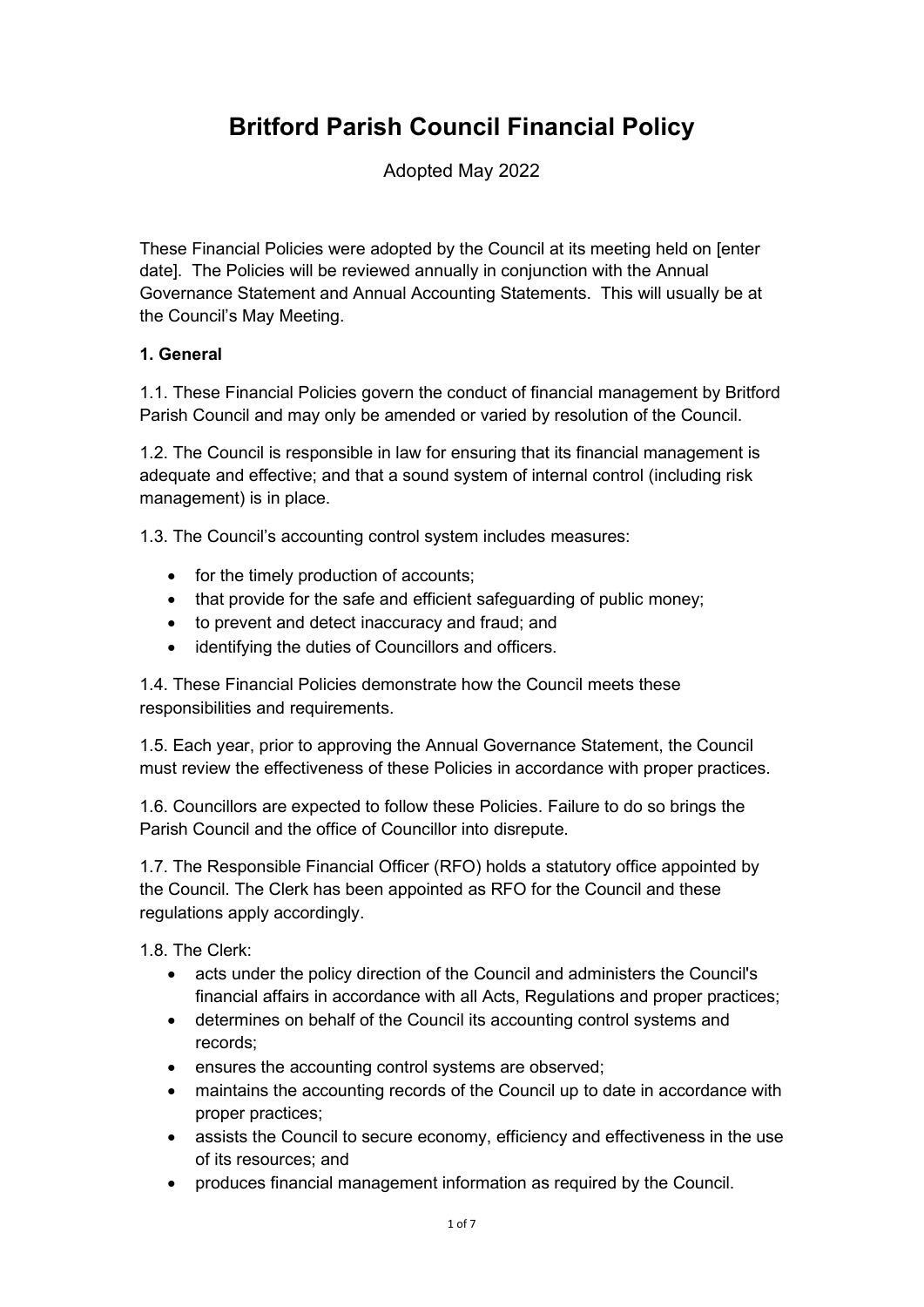# Britford Parish Council Financial Policy

Adopted May 2022

These Financial Policies were adopted by the Council at its meeting held on [enter date]. The Policies will be reviewed annually in conjunction with the Annual Governance Statement and Annual Accounting Statements. This will usually be at the Council's May Meeting.

## 1. General

1.1. These Financial Policies govern the conduct of financial management by Britford Parish Council and may only be amended or varied by resolution of the Council.

1.2. The Council is responsible in law for ensuring that its financial management is adequate and effective; and that a sound system of internal control (including risk management) is in place.

1.3. The Council's accounting control system includes measures:

- for the timely production of accounts;
- that provide for the safe and efficient safeguarding of public money;
- to prevent and detect inaccuracy and fraud; and
- identifying the duties of Councillors and officers.

1.4. These Financial Policies demonstrate how the Council meets these responsibilities and requirements.

1.5. Each year, prior to approving the Annual Governance Statement, the Council must review the effectiveness of these Policies in accordance with proper practices.

1.6. Councillors are expected to follow these Policies. Failure to do so brings the Parish Council and the office of Councillor into disrepute.

1.7. The Responsible Financial Officer (RFO) holds a statutory office appointed by the Council. The Clerk has been appointed as RFO for the Council and these regulations apply accordingly.

1.8. The Clerk:

- acts under the policy direction of the Council and administers the Council's financial affairs in accordance with all Acts, Regulations and proper practices;
- determines on behalf of the Council its accounting control systems and records;
- ensures the accounting control systems are observed;
- maintains the accounting records of the Council up to date in accordance with proper practices;
- assists the Council to secure economy, efficiency and effectiveness in the use of its resources; and
- produces financial management information as required by the Council.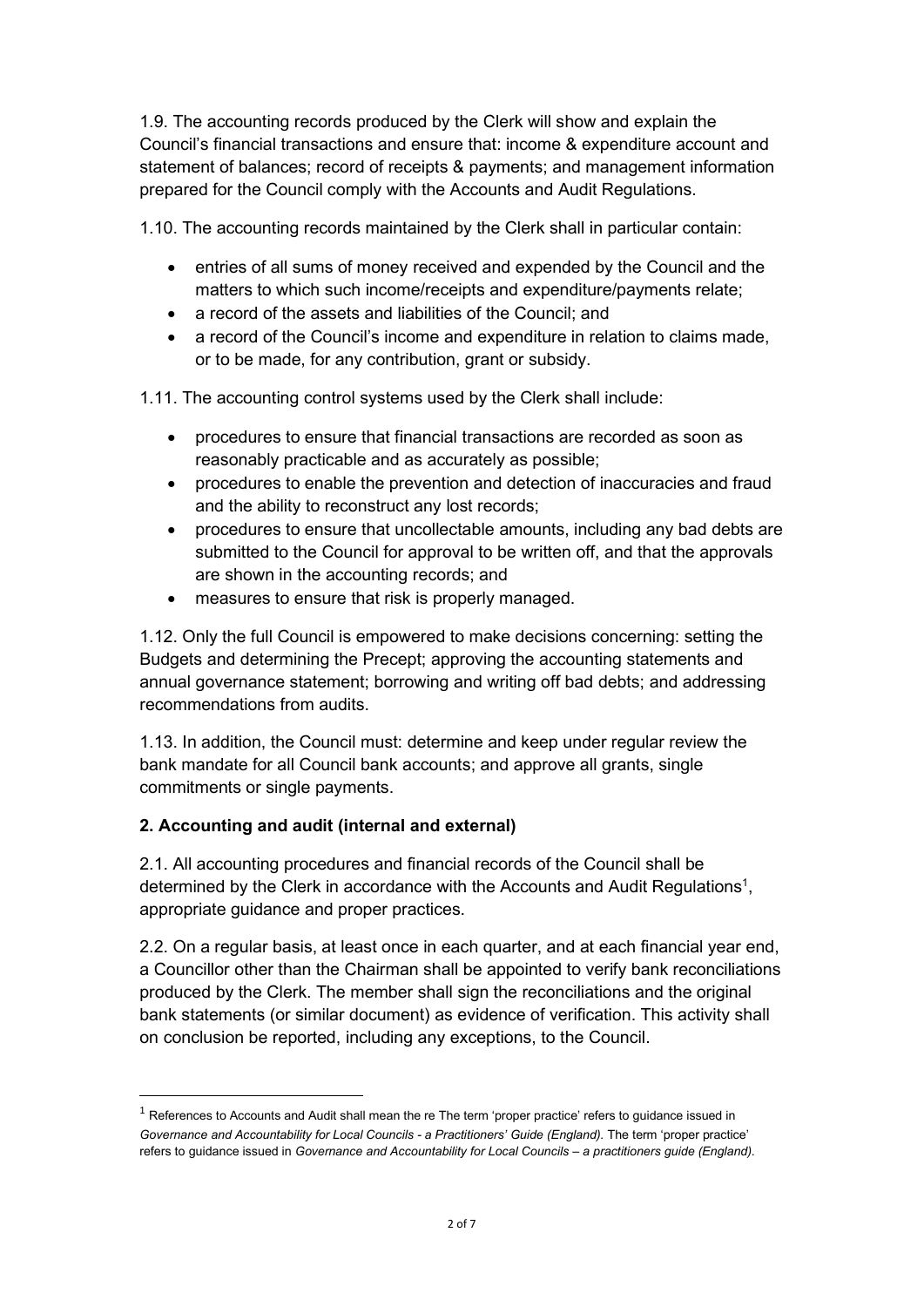1.9. The accounting records produced by the Clerk will show and explain the Council's financial transactions and ensure that: income & expenditure account and statement of balances; record of receipts & payments; and management information prepared for the Council comply with the Accounts and Audit Regulations.

1.10. The accounting records maintained by the Clerk shall in particular contain:

- entries of all sums of money received and expended by the Council and the matters to which such income/receipts and expenditure/payments relate;
- a record of the assets and liabilities of the Council; and
- a record of the Council's income and expenditure in relation to claims made, or to be made, for any contribution, grant or subsidy.

1.11. The accounting control systems used by the Clerk shall include:

- procedures to ensure that financial transactions are recorded as soon as reasonably practicable and as accurately as possible;
- procedures to enable the prevention and detection of inaccuracies and fraud and the ability to reconstruct any lost records;
- procedures to ensure that uncollectable amounts, including any bad debts are submitted to the Council for approval to be written off, and that the approvals are shown in the accounting records; and
- measures to ensure that risk is properly managed.

1.12. Only the full Council is empowered to make decisions concerning: setting the Budgets and determining the Precept; approving the accounting statements and annual governance statement; borrowing and writing off bad debts; and addressing recommendations from audits.

1.13. In addition, the Council must: determine and keep under regular review the bank mandate for all Council bank accounts; and approve all grants, single commitments or single payments.

# 2. Accounting and audit (internal and external)

2.1. All accounting procedures and financial records of the Council shall be determined by the Clerk in accordance with the Accounts and Audit Regulations<sup>1</sup>, appropriate guidance and proper practices.

2.2. On a regular basis, at least once in each quarter, and at each financial year end, a Councillor other than the Chairman shall be appointed to verify bank reconciliations produced by the Clerk. The member shall sign the reconciliations and the original bank statements (or similar document) as evidence of verification. This activity shall on conclusion be reported, including any exceptions, to the Council.

 $<sup>1</sup>$  References to Accounts and Audit shall mean the re The term 'proper practice' refers to guidance issued in</sup> Governance and Accountability for Local Councils - a Practitioners' Guide (England). The term 'proper practice' refers to quidance issued in Governance and Accountability for Local Councils – a practitioners quide (England).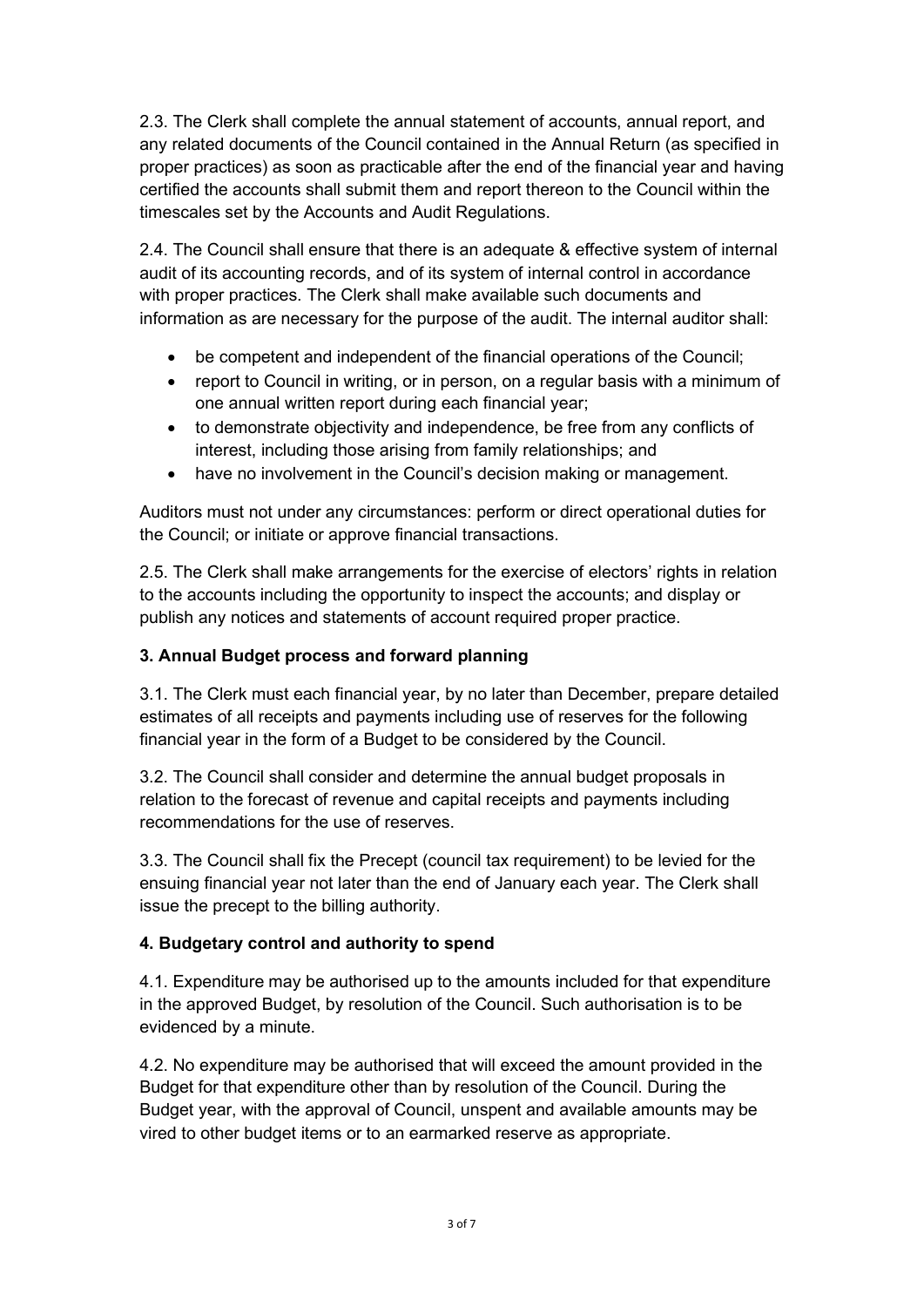2.3. The Clerk shall complete the annual statement of accounts, annual report, and any related documents of the Council contained in the Annual Return (as specified in proper practices) as soon as practicable after the end of the financial year and having certified the accounts shall submit them and report thereon to the Council within the timescales set by the Accounts and Audit Regulations.

2.4. The Council shall ensure that there is an adequate & effective system of internal audit of its accounting records, and of its system of internal control in accordance with proper practices. The Clerk shall make available such documents and information as are necessary for the purpose of the audit. The internal auditor shall:

- be competent and independent of the financial operations of the Council;
- report to Council in writing, or in person, on a regular basis with a minimum of one annual written report during each financial year;
- to demonstrate objectivity and independence, be free from any conflicts of interest, including those arising from family relationships; and
- have no involvement in the Council's decision making or management.

Auditors must not under any circumstances: perform or direct operational duties for the Council; or initiate or approve financial transactions.

2.5. The Clerk shall make arrangements for the exercise of electors' rights in relation to the accounts including the opportunity to inspect the accounts; and display or publish any notices and statements of account required proper practice.

## 3. Annual Budget process and forward planning

3.1. The Clerk must each financial year, by no later than December, prepare detailed estimates of all receipts and payments including use of reserves for the following financial year in the form of a Budget to be considered by the Council.

3.2. The Council shall consider and determine the annual budget proposals in relation to the forecast of revenue and capital receipts and payments including recommendations for the use of reserves.

3.3. The Council shall fix the Precept (council tax requirement) to be levied for the ensuing financial year not later than the end of January each year. The Clerk shall issue the precept to the billing authority.

## 4. Budgetary control and authority to spend

4.1. Expenditure may be authorised up to the amounts included for that expenditure in the approved Budget, by resolution of the Council. Such authorisation is to be evidenced by a minute.

4.2. No expenditure may be authorised that will exceed the amount provided in the Budget for that expenditure other than by resolution of the Council. During the Budget year, with the approval of Council, unspent and available amounts may be vired to other budget items or to an earmarked reserve as appropriate.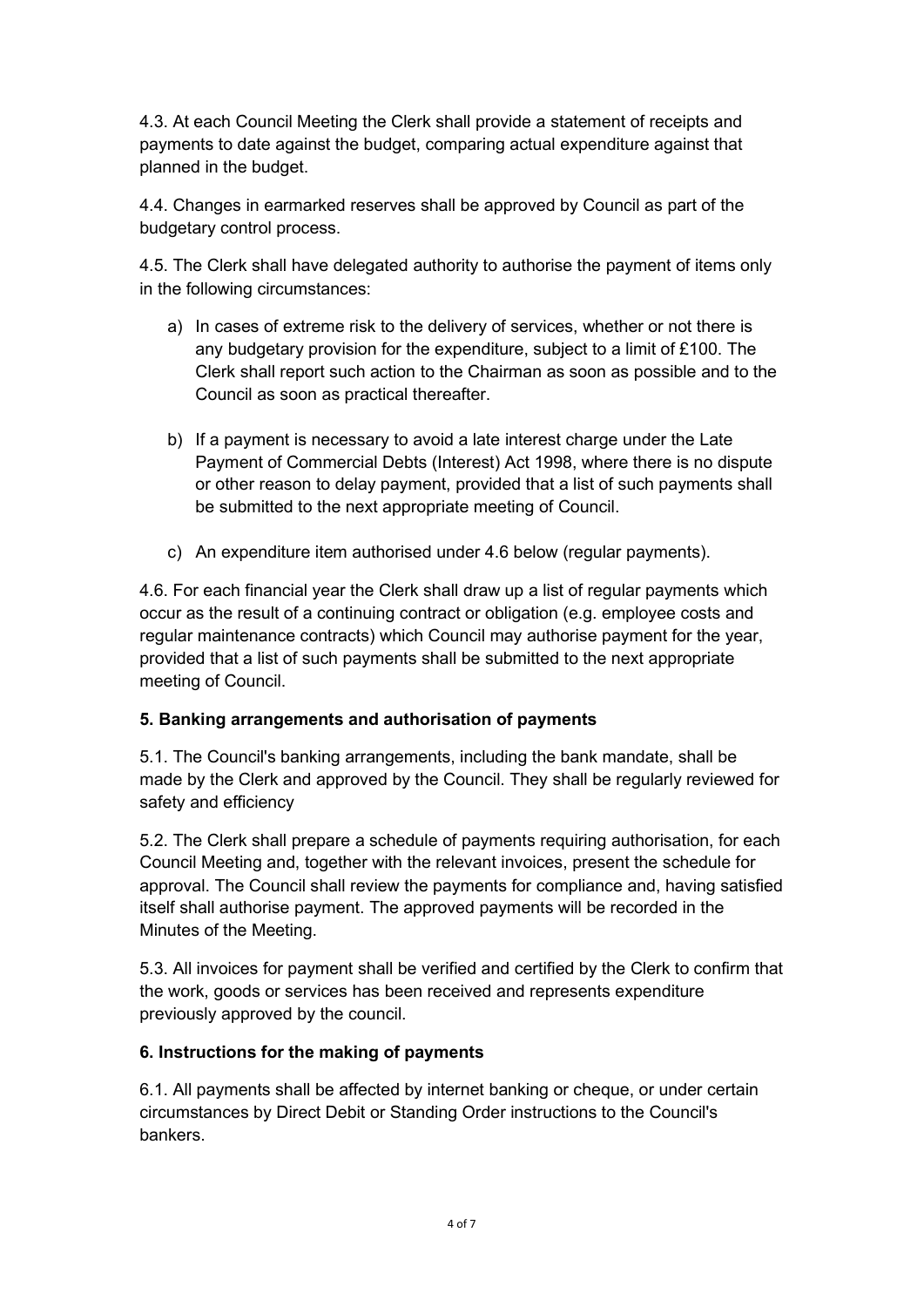4.3. At each Council Meeting the Clerk shall provide a statement of receipts and payments to date against the budget, comparing actual expenditure against that planned in the budget.

4.4. Changes in earmarked reserves shall be approved by Council as part of the budgetary control process.

4.5. The Clerk shall have delegated authority to authorise the payment of items only in the following circumstances:

- a) In cases of extreme risk to the delivery of services, whether or not there is any budgetary provision for the expenditure, subject to a limit of £100. The Clerk shall report such action to the Chairman as soon as possible and to the Council as soon as practical thereafter.
- b) If a payment is necessary to avoid a late interest charge under the Late Payment of Commercial Debts (Interest) Act 1998, where there is no dispute or other reason to delay payment, provided that a list of such payments shall be submitted to the next appropriate meeting of Council.
- c) An expenditure item authorised under 4.6 below (regular payments).

4.6. For each financial year the Clerk shall draw up a list of regular payments which occur as the result of a continuing contract or obligation (e.g. employee costs and regular maintenance contracts) which Council may authorise payment for the year, provided that a list of such payments shall be submitted to the next appropriate meeting of Council.

## 5. Banking arrangements and authorisation of payments

5.1. The Council's banking arrangements, including the bank mandate, shall be made by the Clerk and approved by the Council. They shall be regularly reviewed for safety and efficiency

5.2. The Clerk shall prepare a schedule of payments requiring authorisation, for each Council Meeting and, together with the relevant invoices, present the schedule for approval. The Council shall review the payments for compliance and, having satisfied itself shall authorise payment. The approved payments will be recorded in the Minutes of the Meeting.

5.3. All invoices for payment shall be verified and certified by the Clerk to confirm that the work, goods or services has been received and represents expenditure previously approved by the council.

## 6. Instructions for the making of payments

6.1. All payments shall be affected by internet banking or cheque, or under certain circumstances by Direct Debit or Standing Order instructions to the Council's bankers.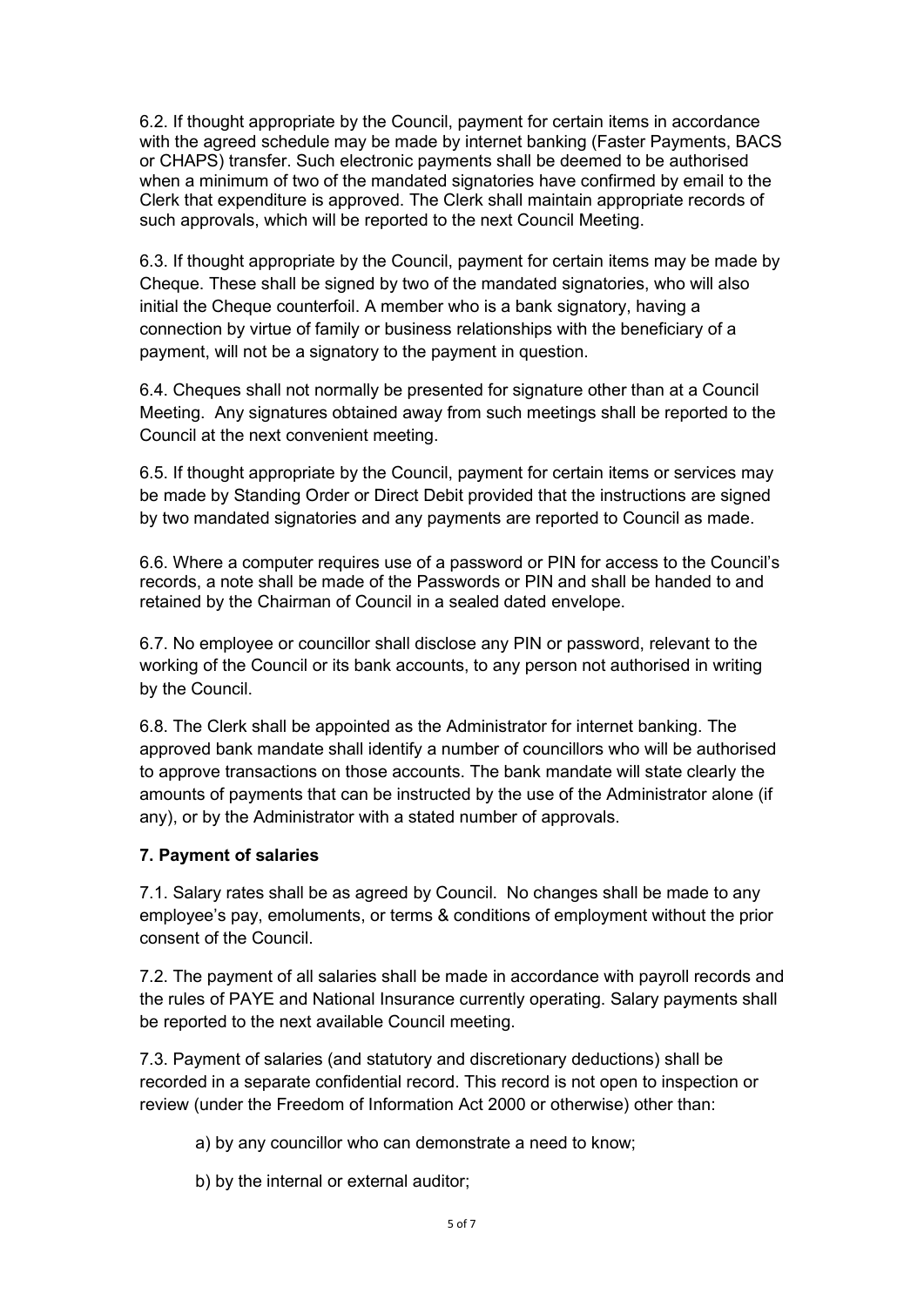6.2. If thought appropriate by the Council, payment for certain items in accordance with the agreed schedule may be made by internet banking (Faster Payments, BACS or CHAPS) transfer. Such electronic payments shall be deemed to be authorised when a minimum of two of the mandated signatories have confirmed by email to the Clerk that expenditure is approved. The Clerk shall maintain appropriate records of such approvals, which will be reported to the next Council Meeting.

6.3. If thought appropriate by the Council, payment for certain items may be made by Cheque. These shall be signed by two of the mandated signatories, who will also initial the Cheque counterfoil. A member who is a bank signatory, having a connection by virtue of family or business relationships with the beneficiary of a payment, will not be a signatory to the payment in question.

6.4. Cheques shall not normally be presented for signature other than at a Council Meeting. Any signatures obtained away from such meetings shall be reported to the Council at the next convenient meeting.

6.5. If thought appropriate by the Council, payment for certain items or services may be made by Standing Order or Direct Debit provided that the instructions are signed by two mandated signatories and any payments are reported to Council as made.

6.6. Where a computer requires use of a password or PIN for access to the Council's records, a note shall be made of the Passwords or PIN and shall be handed to and retained by the Chairman of Council in a sealed dated envelope.

6.7. No employee or councillor shall disclose any PIN or password, relevant to the working of the Council or its bank accounts, to any person not authorised in writing by the Council.

6.8. The Clerk shall be appointed as the Administrator for internet banking. The approved bank mandate shall identify a number of councillors who will be authorised to approve transactions on those accounts. The bank mandate will state clearly the amounts of payments that can be instructed by the use of the Administrator alone (if any), or by the Administrator with a stated number of approvals.

#### 7. Payment of salaries

7.1. Salary rates shall be as agreed by Council. No changes shall be made to any employee's pay, emoluments, or terms & conditions of employment without the prior consent of the Council.

7.2. The payment of all salaries shall be made in accordance with payroll records and the rules of PAYE and National Insurance currently operating. Salary payments shall be reported to the next available Council meeting.

7.3. Payment of salaries (and statutory and discretionary deductions) shall be recorded in a separate confidential record. This record is not open to inspection or review (under the Freedom of Information Act 2000 or otherwise) other than:

- a) by any councillor who can demonstrate a need to know;
- b) by the internal or external auditor;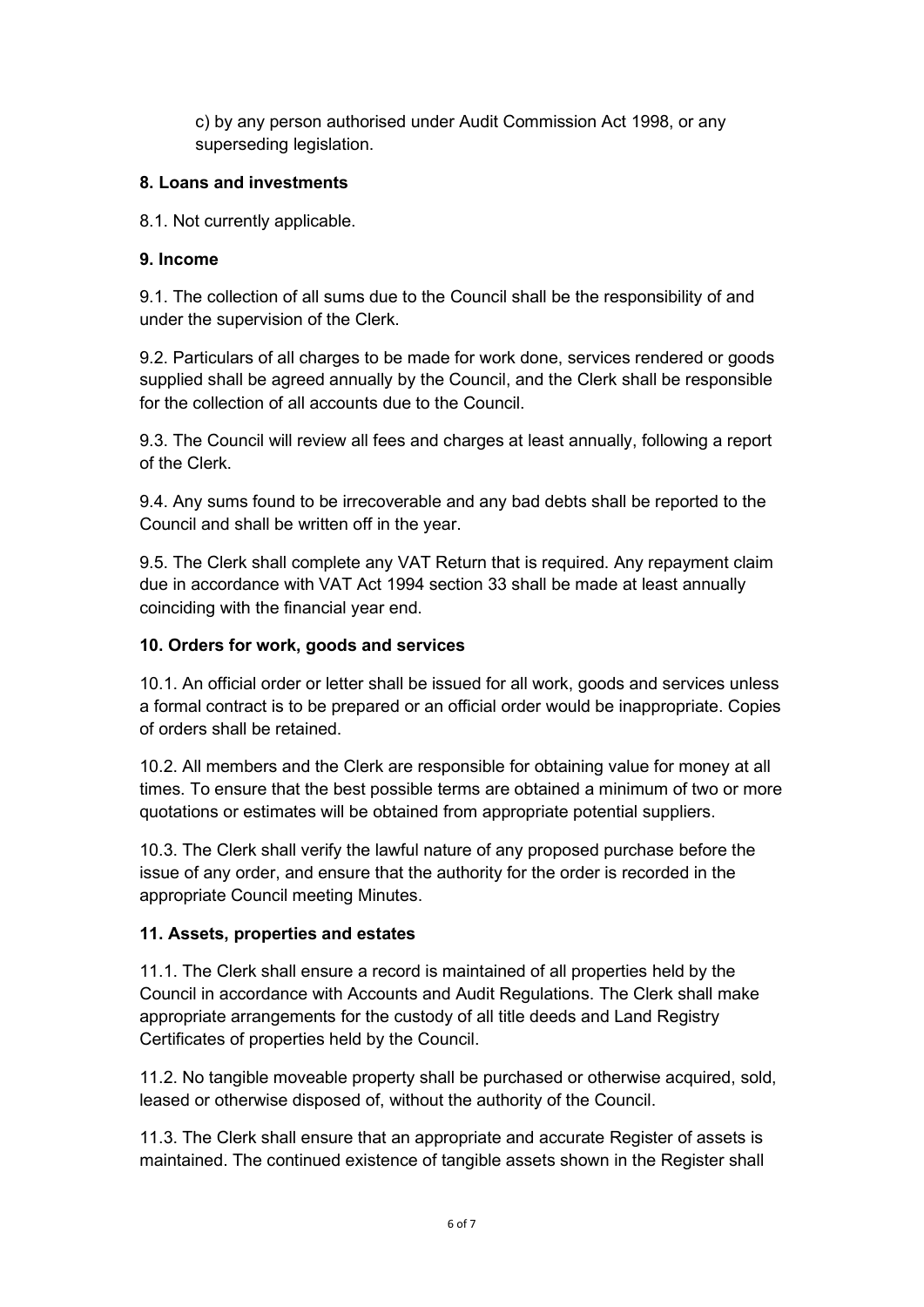c) by any person authorised under Audit Commission Act 1998, or any superseding legislation.

## 8. Loans and investments

8.1. Not currently applicable.

## 9. Income

9.1. The collection of all sums due to the Council shall be the responsibility of and under the supervision of the Clerk.

9.2. Particulars of all charges to be made for work done, services rendered or goods supplied shall be agreed annually by the Council, and the Clerk shall be responsible for the collection of all accounts due to the Council.

9.3. The Council will review all fees and charges at least annually, following a report of the Clerk.

9.4. Any sums found to be irrecoverable and any bad debts shall be reported to the Council and shall be written off in the year.

9.5. The Clerk shall complete any VAT Return that is required. Any repayment claim due in accordance with VAT Act 1994 section 33 shall be made at least annually coinciding with the financial year end.

## 10. Orders for work, goods and services

10.1. An official order or letter shall be issued for all work, goods and services unless a formal contract is to be prepared or an official order would be inappropriate. Copies of orders shall be retained.

10.2. All members and the Clerk are responsible for obtaining value for money at all times. To ensure that the best possible terms are obtained a minimum of two or more quotations or estimates will be obtained from appropriate potential suppliers.

10.3. The Clerk shall verify the lawful nature of any proposed purchase before the issue of any order, and ensure that the authority for the order is recorded in the appropriate Council meeting Minutes.

# 11. Assets, properties and estates

11.1. The Clerk shall ensure a record is maintained of all properties held by the Council in accordance with Accounts and Audit Regulations. The Clerk shall make appropriate arrangements for the custody of all title deeds and Land Registry Certificates of properties held by the Council.

11.2. No tangible moveable property shall be purchased or otherwise acquired, sold, leased or otherwise disposed of, without the authority of the Council.

11.3. The Clerk shall ensure that an appropriate and accurate Register of assets is maintained. The continued existence of tangible assets shown in the Register shall